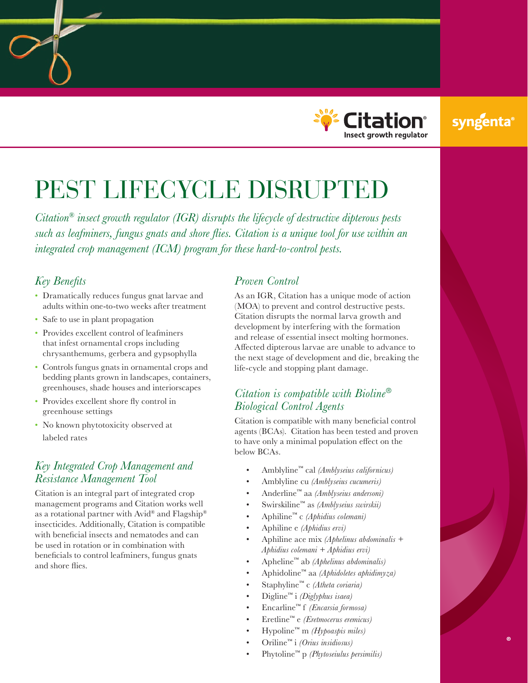

## syngenta

# PEST LIFECYCLE DISRUPTED

*Citation® insect growth regulator (IGR) disrupts the lifecycle of destructive dipterous pests such as leafminers, fungus gnats and shore flies. Citation is a unique tool for use within an integrated crop management (ICM) program for these hard-to-control pests.*

#### *Key Benefits*

- Dramatically reduces fungus gnat larvae and adults within one-to-two weeks after treatment
- Safe to use in plant propagation
- Provides excellent control of leafminers that infest ornamental crops including chrysanthemums, gerbera and gypsophylla
- Controls fungus gnats in ornamental crops and bedding plants grown in landscapes, containers, greenhouses, shade houses and interiorscapes
- Provides excellent shore fly control in greenhouse settings
- No known phytotoxicity observed at labeled rates

#### *Key Integrated Crop Management and Resistance Management Tool*

Citation is an integral part of integrated crop management programs and Citation works well as a rotational partner with Avid® and Flagship® insecticides. Additionally, Citation is compatible with beneficial insects and nematodes and can be used in rotation or in combination with beneficials to control leafminers, fungus gnats and shore flies.

#### *Proven Control*

As an IGR, Citation has a unique mode of action (MOA) to prevent and control destructive pests. Citation disrupts the normal larva growth and development by interfering with the formation and release of essential insect molting hormones. Affected dipterous larvae are unable to advance to the next stage of development and die, breaking the life-cycle and stopping plant damage.

#### *Citation is compatible with Bioline*® *Biological Control Agents*

Citation is compatible with many beneficial control agents (BCAs). Citation has been tested and proven to have only a minimal population effect on the below BCAs.

- Amblyline™ cal *(Amblyseius californicus)*
- Amblyline cu *(Amblyseius cucumeris)*
- Anderline™ aa *(Amblyseius andersoni)*
- Swirskiline™ as *(Amblyseius swirskii)*
- Aphiline™ c *(Aphidius colemani)*
- Aphiline e *(Aphidius ervi)*
- Aphiline ace mix *(Aphelinus abdominalis + Aphidius colemani + Aphidius ervi)*
- Apheline™ ab *(Aphelinus abdominalis)*
- Aphidoline™ aa *(Aphidoletes aphidimyza)*
- Staphyline™ c *(Atheta coriaria)*
- Digline™ i *(Diglyphus isaea)*
- Encarline™ f *(Encarsia formosa)*
- Eretline™ e *(Eretmocerus eremicus)*
- Hypoline™ m *(Hypoaspis miles)*
- Oriline™ i *(Orius insidiosus)*
- Phytoline™ p *(Phytoseiulus persimilis)*